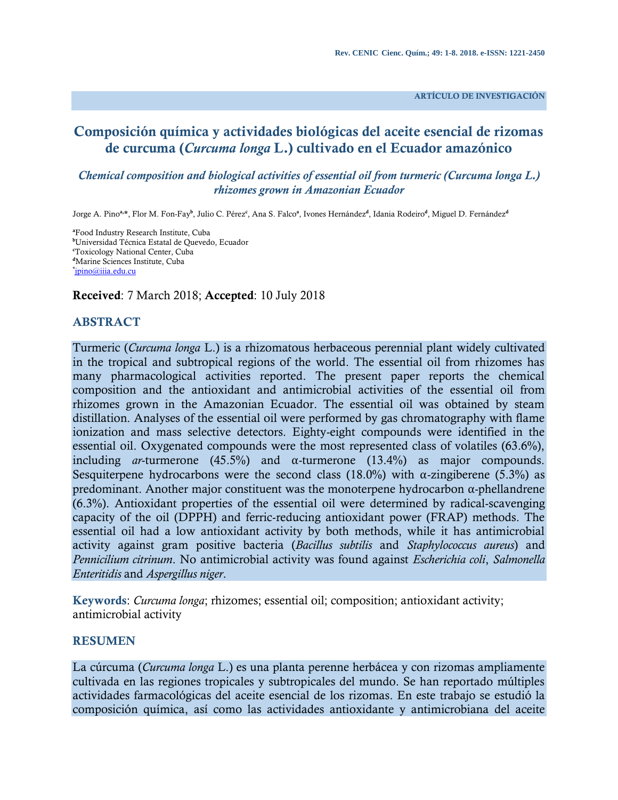**ARTÍCULO DE INVESTIGACIÓN**

# **Composición química y actividades biológicas del aceite esencial de rizomas de curcuma (***Curcuma longa* **L.) cultivado en el Ecuador amazónico**

#### *Chemical composition and biological activities of essential oil from turmeric (Curcuma longa L.) rhizomes grown in Amazonian Ecuador*

Jorge A. Pino**a, \***, Flor M. Fon-Fay**<sup>b</sup>** , Julio C. Pérez**<sup>c</sup>** , Ana S. Falco**<sup>a</sup>** , Ivones Hernández**<sup>d</sup>** , Idania Rodeiro**<sup>d</sup>** , Miguel D. Fernández**<sup>d</sup>**

**<sup>a</sup>**Food Industry Research Institute, Cuba **<sup>b</sup>**Universidad Técnica Estatal de Quevedo, Ecuador **<sup>c</sup>**Toxicology National Center, Cuba **<sup>d</sup>**Marine Sciences Institute, Cuba **\*** [jpino@iiia.edu.cu](mailto:jpino@iiia.edu.cu)

**Received**: 7 March 2018; **Accepted**: 10 July 2018

#### **ABSTRACT**

Turmeric (*Curcuma longa* L.) is a rhizomatous herbaceous perennial plant widely cultivated in the tropical and subtropical regions of the world. The essential oil from rhizomes has many pharmacological activities reported. The present paper reports the chemical composition and the antioxidant and antimicrobial activities of the essential oil from rhizomes grown in the Amazonian Ecuador. The essential oil was obtained by steam distillation. Analyses of the essential oil were performed by gas chromatography with flame ionization and mass selective detectors. Eighty-eight compounds were identified in the essential oil. Oxygenated compounds were the most represented class of volatiles (63.6%), including *ar*-turmerone (45.5%) and α-turmerone (13.4%) as major compounds. Sesquiterpene hydrocarbons were the second class (18.0%) with  $\alpha$ -zingiberene (5.3%) as predominant. Another major constituent was the monoterpene hydrocarbon α-phellandrene (6.3%). Antioxidant properties of the essential oil were determined by radical-scavenging capacity of the oil (DPPH) and ferric-reducing antioxidant power (FRAP) methods. The essential oil had a low antioxidant activity by both methods, while it has antimicrobial activity against gram positive bacteria (*Bacillus subtilis* and *Staphylococcus aureus*) and *Pennicilium citrinum*. No antimicrobial activity was found against *Escherichia coli*, *Salmonella Enteritidis* and *Aspergillus niger*.

**Keywords**: *Curcuma longa*; rhizomes; essential oil; composition; antioxidant activity; antimicrobial activity

#### **RESUMEN**

La cúrcuma (*Curcuma longa* L.) es una planta perenne herbácea y con rizomas ampliamente cultivada en las regiones tropicales y subtropicales del mundo. Se han reportado múltiples actividades farmacológicas del aceite esencial de los rizomas. En este trabajo se estudió la composición química, así como las actividades antioxidante y antimicrobiana del aceite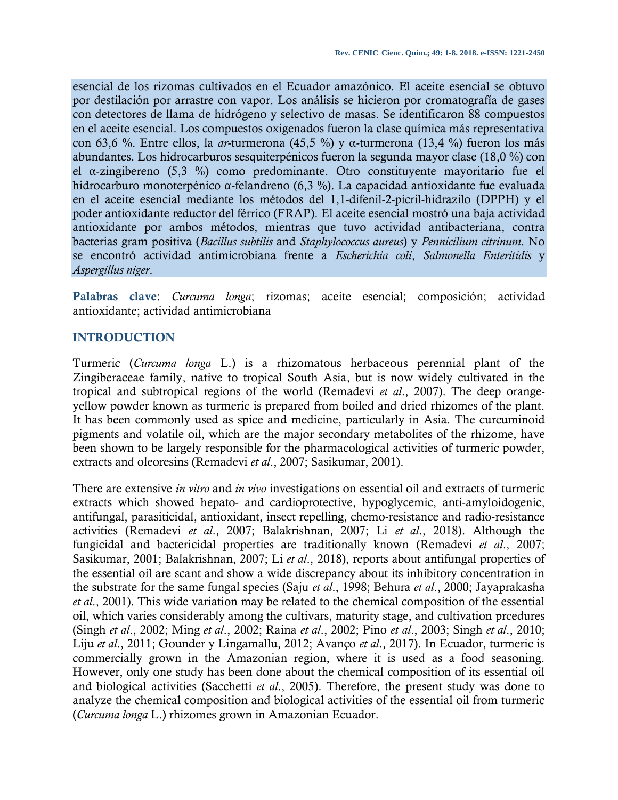esencial de los rizomas cultivados en el Ecuador amazónico. El aceite esencial se obtuvo por destilación por arrastre con vapor. Los análisis se hicieron por cromatografía de gases con detectores de llama de hidrógeno y selectivo de masas. Se identificaron 88 compuestos en el aceite esencial. Los compuestos oxigenados fueron la clase química más representativa con 63,6 %. Entre ellos, la *ar*-turmerona (45,5 %) y α-turmerona (13,4 %) fueron los más abundantes. Los hidrocarburos sesquiterpénicos fueron la segunda mayor clase (18,0 %) con el α-zingibereno (5,3 %) como predominante. Otro constituyente mayoritario fue el hidrocarburo monoterpénico α-felandreno (6,3 %). La capacidad antioxidante fue evaluada en el aceite esencial mediante los métodos del 1,1-difenil-2-picril-hidrazilo (DPPH) y el poder antioxidante reductor del férrico (FRAP). El aceite esencial mostró una baja actividad antioxidante por ambos métodos, mientras que tuvo actividad antibacteriana, contra bacterias gram positiva (*Bacillus subtilis* and *Staphylococcus aureus*) y *Pennicilium citrinum*. No se encontró actividad antimicrobiana frente a *Escherichia coli*, *Salmonella Enteritidis* y *Aspergillus niger*.

**Palabras clave**: *Curcuma longa*; rizomas; aceite esencial; composición; actividad antioxidante; actividad antimicrobiana

#### **INTRODUCTION**

Turmeric (*Curcuma longa* L.) is a rhizomatous herbaceous perennial plant of the Zingiberaceae family, native to tropical South Asia, but is now widely cultivated in the tropical and subtropical regions of the world (Remadevi *et al*., 2007). The deep orangeyellow powder known as turmeric is prepared from boiled and dried rhizomes of the plant. It has been commonly used as spice and medicine, particularly in Asia. The curcuminoid pigments and volatile oil, which are the major secondary metabolites of the rhizome, have been shown to be largely responsible for the pharmacological activities of turmeric powder, extracts and oleoresins (Remadevi *et al*., 2007; Sasikumar, 2001).

There are extensive *in vitro* and *in vivo* investigations on essential oil and extracts of turmeric extracts which showed hepato- and cardioprotective, hypoglycemic, anti-amyloidogenic, antifungal, parasiticidal, antioxidant, insect repelling, chemo-resistance and radio-resistance activities (Remadevi *et al*., 2007; Balakrishnan, 2007; Li *et al*., 2018). Although the fungicidal and bactericidal properties are traditionally known (Remadevi *et al*., 2007; Sasikumar, 2001; Balakrishnan, 2007; Li *et al*., 2018), reports about antifungal properties of the essential oil are scant and show a wide discrepancy about its inhibitory concentration in the substrate for the same fungal species (Saju *et al*., 1998; Behura *et al*., 2000; Jayaprakasha *et al*., 2001). This wide variation may be related to the chemical composition of the essential oil, which varies considerably among the cultivars, maturity stage, and cultivation prcedures (Singh *et al*., 2002; Ming *et al*., 2002; Raina *et al*., 2002; Pino *et al*., 2003; Singh *et al*., 2010; Liju *et al*., 2011; Gounder y Lingamallu, 2012; Avanço *et al*., 2017). In Ecuador, turmeric is commercially grown in the Amazonian region, where it is used as a food seasoning. However, only one study has been done about the chemical composition of its essential oil and biological activities (Sacchetti *et al*., 2005). Therefore, the present study was done to analyze the chemical composition and biological activities of the essential oil from turmeric (*Curcuma longa* L.) rhizomes grown in Amazonian Ecuador.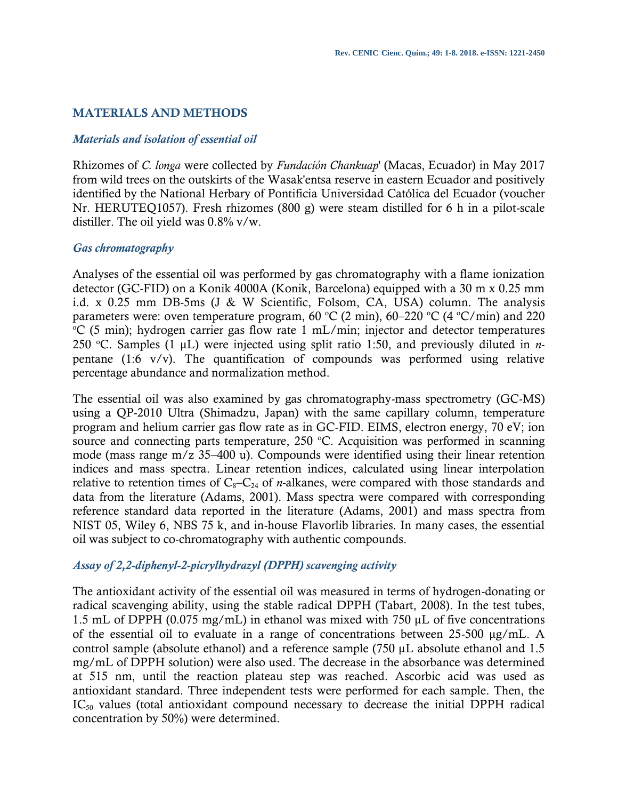## **MATERIALS AND METHODS**

#### *Materials and isolation of essential oil*

Rhizomes of *C. longa* were collected by *Fundación Chankuap*' (Macas, Ecuador) in May 2017 from wild trees on the outskirts of the Wasak'entsa reserve in eastern Ecuador and positively identified by the National Herbary of Pontificia Universidad Católica del Ecuador (voucher Nr. HERUTEQ1057). Fresh rhizomes (800 g) were steam distilled for 6 h in a pilot-scale distiller. The oil yield was 0.8% v/w.

#### *Gas chromatography*

Analyses of the essential oil was performed by gas chromatography with a flame ionization detector (GC-FID) on a Konik 4000A (Konik, Barcelona) equipped with a 30 m x 0.25 mm i.d. x 0.25 mm DB-5ms (J & W Scientific, Folsom, CA, USA) column. The analysis parameters were: oven temperature program, 60 °C (2 min), 60–220 °C (4 °C/min) and 220  $\rm{C}$  (5 min); hydrogen carrier gas flow rate 1 mL/min; injector and detector temperatures 250 <sup>o</sup>C. Samples (1 μL) were injected using split ratio 1:50, and previously diluted in *n*pentane (1:6 v/v). The quantification of compounds was performed using relative percentage abundance and normalization method.

The essential oil was also examined by gas chromatography-mass spectrometry (GC-MS) using a QP-2010 Ultra (Shimadzu, Japan) with the same capillary column, temperature program and helium carrier gas flow rate as in GC-FID. EIMS, electron energy, 70 eV; ion source and connecting parts temperature, 250  $^{\circ}$ C. Acquisition was performed in scanning mode (mass range m/z 35–400 u). Compounds were identified using their linear retention indices and mass spectra. Linear retention indices, calculated using linear interpolation relative to retention times of  $C_8-C_{24}$  of *n*-alkanes, were compared with those standards and data from the literature (Adams, 2001). Mass spectra were compared with corresponding reference standard data reported in the literature (Adams, 2001) and mass spectra from NIST 05, Wiley 6, NBS 75 k, and in-house Flavorlib libraries. In many cases, the essential oil was subject to co-chromatography with authentic compounds.

#### *Assay of 2,2-diphenyl-2-picrylhydrazyl (DPPH) scavenging activity*

The antioxidant activity of the essential oil was measured in terms of hydrogen-donating or radical scavenging ability, using the stable radical DPPH (Tabart, 2008). In the test tubes, 1.5 mL of DPPH (0.075 mg/mL) in ethanol was mixed with 750 μL of five concentrations of the essential oil to evaluate in a range of concentrations between 25-500 μg/mL. A control sample (absolute ethanol) and a reference sample (750 μL absolute ethanol and 1.5 mg/mL of DPPH solution) were also used. The decrease in the absorbance was determined at 515 nm, until the reaction plateau step was reached. Ascorbic acid was used as antioxidant standard. Three independent tests were performed for each sample. Then, the IC<sub>50</sub> values (total antioxidant compound necessary to decrease the initial DPPH radical concentration by 50%) were determined.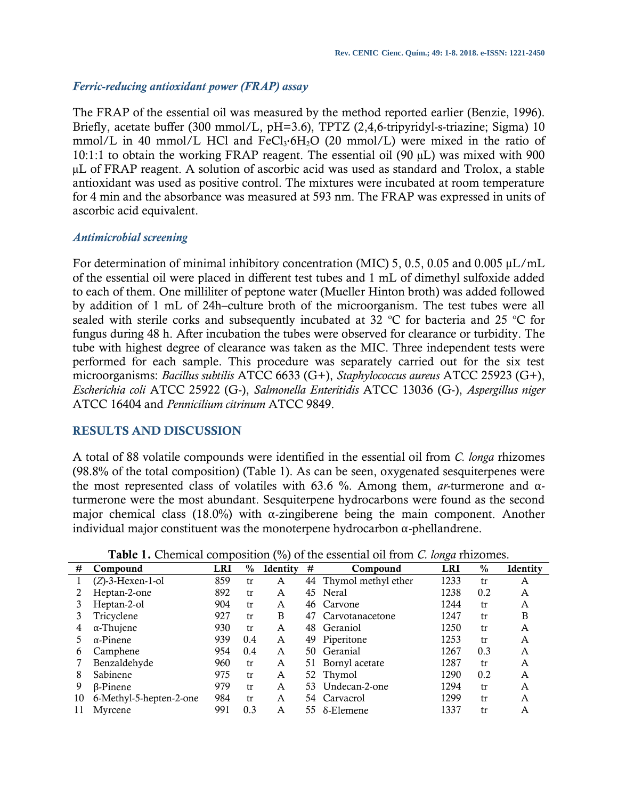#### *Ferric-reducing antioxidant power (FRAP) assay*

The FRAP of the essential oil was measured by the method reported earlier (Benzie, 1996). Briefly, acetate buffer (300 mmol/L, pH=3.6), TPTZ (2,4,6-tripyridyl-s-triazine; Sigma) 10 mmol/L in 40 mmol/L HCl and FeCl<sub>3</sub>·6H<sub>2</sub>O (20 mmol/L) were mixed in the ratio of 10:1:1 to obtain the working FRAP reagent. The essential oil (90 µL) was mixed with 900 µL of FRAP reagent. A solution of ascorbic acid was used as standard and Trolox, a stable antioxidant was used as positive control. The mixtures were incubated at room temperature for 4 min and the absorbance was measured at 593 nm. The FRAP was expressed in units of ascorbic acid equivalent.

#### *Antimicrobial screening*

For determination of minimal inhibitory concentration (MIC) 5, 0.5, 0.05 and 0.005 μL/mL of the essential oil were placed in different test tubes and 1 mL of dimethyl sulfoxide added to each of them. One milliliter of peptone water (Mueller Hinton broth) was added followed by addition of 1 mL of 24h–culture broth of the microorganism. The test tubes were all sealed with sterile corks and subsequently incubated at 32  $\degree$ C for bacteria and 25  $\degree$ C for fungus during 48 h. After incubation the tubes were observed for clearance or turbidity. The tube with highest degree of clearance was taken as the MIC. Three independent tests were performed for each sample. This procedure was separately carried out for the six test microorganisms: *Bacillus subtilis* ATCC 6633 (G+), *Staphylococcus aureus* ATCC 25923 (G+), *Escherichia coli* ATCC 25922 (G-), *Salmonella Enteritidis* ATCC 13036 (G-), *Aspergillus niger* ATCC 16404 and *Pennicilium citrinum* ATCC 9849.

# **RESULTS AND DISCUSSION**

A total of 88 volatile compounds were identified in the essential oil from *C. longa* rhizomes (98.8% of the total composition) (Table 1). As can be seen, oxygenated sesquiterpenes were the most represented class of volatiles with 63.6 %. Among them, *ar*-turmerone and αturmerone were the most abundant. Sesquiterpene hydrocarbons were found as the second major chemical class (18.0%) with  $\alpha$ -zingiberene being the main component. Another individual major constituent was the monoterpene hydrocarbon α-phellandrene.

|    |                         |     |      |          |     |                        | ∽          |      |                 |
|----|-------------------------|-----|------|----------|-----|------------------------|------------|------|-----------------|
| #  | Compound                | LRI | $\%$ | Identity | #   | Compound               | <b>LRI</b> | $\%$ | <b>Identity</b> |
|    | $(Z)$ -3-Hexen-1-ol     | 859 | tr   | A        |     | 44 Thymol methyl ether | 1233       | tr   | A               |
|    | Heptan-2-one            | 892 | tr   | A        |     | 45 Neral               | 1238       | 0.2  | A               |
|    | Heptan-2-ol             | 904 | tr   | A        |     | 46 Carvone             | 1244       | tr   | A               |
|    | Tricyclene              | 927 | tr   | B        | 47  | Carvotanacetone        | 1247       | tr   | B               |
| 4  | $\alpha$ -Thujene       | 930 | tr   | A        | 48  | Geraniol               | 1250       | tr   | A               |
|    | $\alpha$ -Pinene        | 939 | 0.4  | A        | 49  | Piperitone             | 1253       | tr   | Α               |
| 6  | Camphene                | 954 | 0.4  | A        | 50. | Geranial               | 1267       | 0.3  | A               |
|    | Benzaldehyde            | 960 | tr   | A        | 51  | Bornyl acetate         | 1287       | tr   | A               |
| 8  | Sabinene                | 975 | tr   | A        |     | 52 Thymol              | 1290       | 0.2  | A               |
| 9  | $\beta$ -Pinene         | 979 | tr   | A        | 53  | Undecan-2-one          | 1294       | tr   | A               |
| 10 | 6-Methyl-5-hepten-2-one | 984 | tr   | A        |     | 54 Carvacrol           | 1299       | tr   | A               |
|    | Myrcene                 | 991 | 0.3  | A        | 55. | δ-Elemene              | 1337       | tr   | Α               |

**Table 1.** Chemical composition (%) of the essential oil from *C. longa* rhizomes.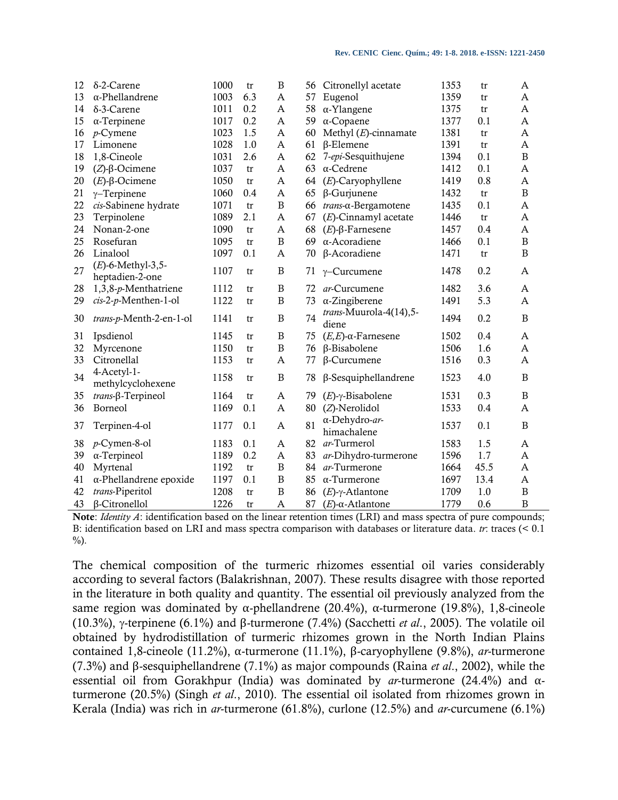| $\delta$ -2-Carene      | 1000                                                                                                                                                                                                                                             | tr                                                           | $\, {\bf B}$                        | 56                                   | Citronellyl acetate                          | 1353                                                                                                                                                                                                                   | tr                                                                   | A                                                    |
|-------------------------|--------------------------------------------------------------------------------------------------------------------------------------------------------------------------------------------------------------------------------------------------|--------------------------------------------------------------|-------------------------------------|--------------------------------------|----------------------------------------------|------------------------------------------------------------------------------------------------------------------------------------------------------------------------------------------------------------------------|----------------------------------------------------------------------|------------------------------------------------------|
| $\alpha$ -Phellandrene  | 1003                                                                                                                                                                                                                                             | 6.3                                                          | A                                   | 57                                   | Eugenol                                      | 1359                                                                                                                                                                                                                   | tr                                                                   | A                                                    |
| $\delta$ -3-Carene      | 1011                                                                                                                                                                                                                                             | 0.2                                                          | A                                   | 58                                   | $\alpha$ -Ylangene                           | 1375                                                                                                                                                                                                                   | tr                                                                   | A                                                    |
| $\alpha$ -Terpinene     | 1017                                                                                                                                                                                                                                             | 0.2                                                          | $\mathbf{A}$                        | 59                                   | $\alpha$ -Copaene                            | 1377                                                                                                                                                                                                                   | 0.1                                                                  | A                                                    |
| $p$ -Cymene             | 1023                                                                                                                                                                                                                                             | 1.5                                                          | $\mathbf{A}$                        | 60                                   | Methyl $(E)$ -cinnamate                      | 1381                                                                                                                                                                                                                   | tr                                                                   | A                                                    |
| Limonene                | 1028                                                                                                                                                                                                                                             | 1.0                                                          | A                                   | 61                                   | $\beta$ -Elemene                             | 1391                                                                                                                                                                                                                   | tr                                                                   | A                                                    |
| 1,8-Cineole             | 1031                                                                                                                                                                                                                                             | 2.6                                                          | A                                   | 62                                   | 7-epi-Sesquithujene                          | 1394                                                                                                                                                                                                                   | 0.1                                                                  | $\boldsymbol{B}$                                     |
| $(Z)$ -β-Ocimene        | 1037                                                                                                                                                                                                                                             | tr                                                           | A                                   | 63                                   | $\alpha$ -Cedrene                            | 1412                                                                                                                                                                                                                   | 0.1                                                                  | A                                                    |
| $(E)$ -β-Ocimene        | 1050                                                                                                                                                                                                                                             | tr                                                           | A                                   | 64                                   | $(E)$ -Caryophyllene                         | 1419                                                                                                                                                                                                                   | 0.8                                                                  | A                                                    |
| $\gamma$ -Terpinene     | 1060                                                                                                                                                                                                                                             | 0.4                                                          | A                                   | 65                                   | $\beta$ -Gurjunene                           | 1432                                                                                                                                                                                                                   | tr                                                                   | $\, {\bf B}$                                         |
| cis-Sabinene hydrate    | 1071                                                                                                                                                                                                                                             | tr                                                           | B                                   | 66                                   | $trans$ - $\alpha$ -Bergamotene              | 1435                                                                                                                                                                                                                   | 0.1                                                                  | A                                                    |
| Terpinolene             | 1089                                                                                                                                                                                                                                             | 2.1                                                          | $\mathbf{A}$                        | 67                                   | $(E)$ -Cinnamyl acetate                      | 1446                                                                                                                                                                                                                   | tr                                                                   | A                                                    |
| Nonan-2-one             | 1090                                                                                                                                                                                                                                             | tr                                                           | $\mathbf{A}$                        | 68                                   | $(E)$ -β-Farnesene                           | 1457                                                                                                                                                                                                                   | 0.4                                                                  | A                                                    |
| Rosefuran               | 1095                                                                                                                                                                                                                                             | tr                                                           | $\, {\bf B}$                        | 69                                   | α-Acoradiene                                 | 1466                                                                                                                                                                                                                   | 0.1                                                                  | $\, {\bf B}$                                         |
| Linalool                | 1097                                                                                                                                                                                                                                             | 0.1                                                          | A                                   | 70                                   | β-Acoradiene                                 | 1471                                                                                                                                                                                                                   | tr                                                                   | $\mathbf B$                                          |
| $(E)$ -6-Methyl-3,5-    | 1107                                                                                                                                                                                                                                             | tr                                                           | B                                   | 71                                   | $\gamma$ –Curcumene                          | 1478                                                                                                                                                                                                                   | 0.2                                                                  | A                                                    |
|                         |                                                                                                                                                                                                                                                  |                                                              |                                     |                                      |                                              |                                                                                                                                                                                                                        |                                                                      | A                                                    |
|                         |                                                                                                                                                                                                                                                  |                                                              |                                     |                                      |                                              |                                                                                                                                                                                                                        |                                                                      | A                                                    |
|                         |                                                                                                                                                                                                                                                  |                                                              |                                     |                                      |                                              |                                                                                                                                                                                                                        |                                                                      |                                                      |
| trans-p-Menth-2-en-1-ol |                                                                                                                                                                                                                                                  | tr                                                           | B                                   |                                      | diene                                        |                                                                                                                                                                                                                        |                                                                      | $\mathbf B$                                          |
| Ipsdienol               | 1145                                                                                                                                                                                                                                             | tr                                                           | $\, {\bf B}$                        | 75                                   | $(E,E)$ -α-Farnesene                         | 1502                                                                                                                                                                                                                   | 0.4                                                                  | A                                                    |
| Myrcenone               | 1150                                                                                                                                                                                                                                             | tr                                                           | $\mathbf B$                         | 76                                   | β-Bisabolene                                 | 1506                                                                                                                                                                                                                   | 1.6                                                                  | A                                                    |
| Citronellal             | 1153                                                                                                                                                                                                                                             | tr                                                           | A                                   | 77                                   | $\beta$ -Curcumene                           | 1516                                                                                                                                                                                                                   | 0.3                                                                  | A                                                    |
| 4-Acetyl-1-             | 1158                                                                                                                                                                                                                                             | tr                                                           | B                                   | 78                                   | $\beta$ -Sesquiphellandrene                  | 1523                                                                                                                                                                                                                   | 4.0                                                                  | B                                                    |
|                         |                                                                                                                                                                                                                                                  |                                                              |                                     |                                      |                                              |                                                                                                                                                                                                                        |                                                                      | B                                                    |
|                         |                                                                                                                                                                                                                                                  |                                                              |                                     |                                      |                                              |                                                                                                                                                                                                                        |                                                                      | A                                                    |
| Terpinen-4-ol           | 1177                                                                                                                                                                                                                                             | 0.1                                                          | $\mathbf{A}$                        | 81                                   | α-Dehydro-ar-                                | 1537                                                                                                                                                                                                                   | 0.1                                                                  | $\mathbf B$                                          |
|                         |                                                                                                                                                                                                                                                  |                                                              |                                     |                                      |                                              |                                                                                                                                                                                                                        |                                                                      | A                                                    |
|                         |                                                                                                                                                                                                                                                  |                                                              |                                     |                                      |                                              |                                                                                                                                                                                                                        |                                                                      | A                                                    |
|                         | 1192                                                                                                                                                                                                                                             | tr                                                           | B                                   | 84                                   | ar-Turmerone                                 |                                                                                                                                                                                                                        | 45.5                                                                 | A                                                    |
|                         | 1197                                                                                                                                                                                                                                             | 0.1                                                          | B                                   | 85                                   |                                              | 1697                                                                                                                                                                                                                   | 13.4                                                                 | A                                                    |
|                         |                                                                                                                                                                                                                                                  | tr                                                           | $\mathbf B$                         |                                      |                                              |                                                                                                                                                                                                                        |                                                                      | $\, {\bf B}$                                         |
| $\beta$ -Citronellol    | 1226                                                                                                                                                                                                                                             | tr                                                           | A                                   | 87                                   | $(E)$ - $\alpha$ -Atlantone                  | 1779                                                                                                                                                                                                                   | 0.6                                                                  | $\overline{B}$                                       |
|                         | heptadien-2-one<br>$1,3,8-p$ -Menthatriene<br>cis-2-p-Menthen-1-ol<br>methylcyclohexene<br>$trans \beta$ -Terpineol<br><b>Borneol</b><br>$p$ -Cymen-8-ol<br>$\alpha$ -Terpineol<br>Myrtenal<br>$\alpha$ -Phellandrene epoxide<br>trans-Piperitol | 1112<br>1122<br>1141<br>1164<br>1169<br>1183<br>1189<br>1208 | tr<br>tr<br>tr<br>0.1<br>0.1<br>0.2 | B<br>$\mathbf B$<br>A<br>A<br>A<br>A | 72<br>73<br>74<br>79<br>80<br>82<br>83<br>86 | ar-Curcumene<br>$\alpha$ -Zingiberene<br>trans-Muurola-4(14),5-<br>$(E)$ - $\gamma$ -Bisabolene<br>$(Z)$ -Nerolidol<br>himachalene<br>ar-Turmerol<br>ar-Dihydro-turmerone<br>$\alpha$ -Turmerone<br>$(E)$ -γ-Atlantone | 1482<br>1491<br>1494<br>1531<br>1533<br>1583<br>1596<br>1664<br>1709 | 3.6<br>5.3<br>0.2<br>0.3<br>0.4<br>1.5<br>1.7<br>1.0 |

**Note**: *Identity A*: identification based on the linear retention times (LRI) and mass spectra of pure compounds; B: identification based on LRI and mass spectra comparison with databases or literature data. *tr*: traces (< 0.1  $\%$ ).

The chemical composition of the turmeric rhizomes essential oil varies considerably according to several factors (Balakrishnan, 2007). These results disagree with those reported in the literature in both quality and quantity. The essential oil previously analyzed from the same region was dominated by α-phellandrene (20.4%), α-turmerone (19.8%), 1,8-cineole (10.3%), -terpinene (6.1%) and β-turmerone (7.4%) (Sacchetti *et al*., 2005). The volatile oil obtained by hydrodistillation of turmeric rhizomes grown in the North Indian Plains contained 1,8-cineole (11.2%), α-turmerone (11.1%), β-caryophyllene (9.8%), *ar*-turmerone (7.3%) and β-sesquiphellandrene (7.1%) as major compounds (Raina *et al*., 2002), while the essential oil from Gorakhpur (India) was dominated by *ar*-turmerone (24.4%) and αturmerone (20.5%) (Singh *et al*., 2010). The essential oil isolated from rhizomes grown in Kerala (India) was rich in *ar*-turmerone (61.8%), curlone (12.5%) and *ar*-curcumene (6.1%)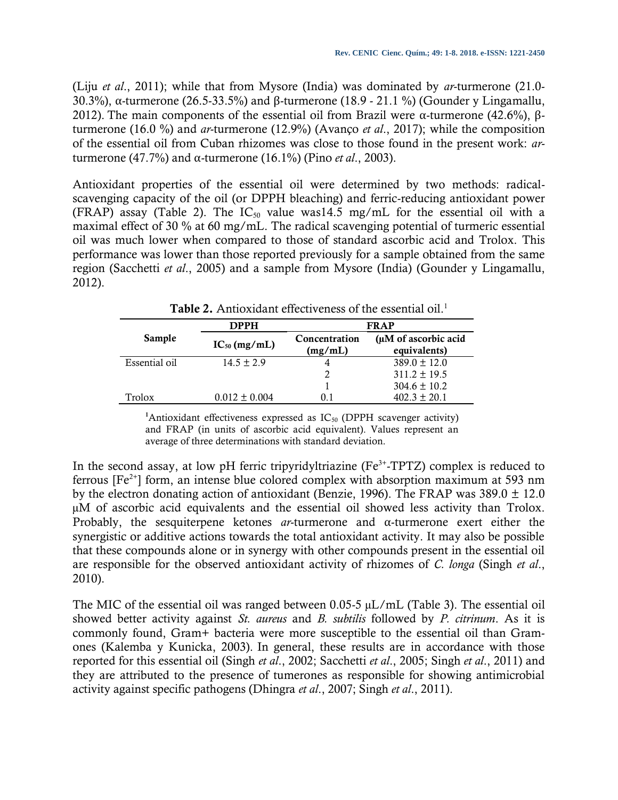(Liju *et al*., 2011); while that from Mysore (India) was dominated by *ar*-turmerone (21.0- 30.3%), α-turmerone (26.5-33.5%) and β-turmerone (18.9 - 21.1 %) (Gounder y Lingamallu, 2012). The main components of the essential oil from Brazil were α-turmerone (42.6%), βturmerone (16.0 %) and *ar*-turmerone (12.9%) (Avanço *et al*., 2017); while the composition of the essential oil from Cuban rhizomes was close to those found in the present work: *ar*turmerone (47.7%) and α-turmerone (16.1%) (Pino *et al*., 2003).

Antioxidant properties of the essential oil were determined by two methods: radicalscavenging capacity of the oil (or DPPH bleaching) and ferric-reducing antioxidant power (FRAP) assay (Table 2). The  $IC_{50}$  value was14.5 mg/mL for the essential oil with a maximal effect of 30 % at 60 mg/mL. The radical scavenging potential of turmeric essential oil was much lower when compared to those of standard ascorbic acid and Trolox. This performance was lower than those reported previously for a sample obtained from the same region (Sacchetti *et al*., 2005) and a sample from Mysore (India) (Gounder y Lingamallu, 2012).

|               | <b>DPPH</b>       | <b>FRAP</b>              |                                      |  |  |
|---------------|-------------------|--------------------------|--------------------------------------|--|--|
| Sample        | $IC_{50}$ (mg/mL) | Concentration<br>(mg/mL) | (µM of ascorbic acid<br>equivalents) |  |  |
| Essential oil | $14.5 + 2.9$      |                          | $389.0 \pm 12.0$                     |  |  |
|               |                   | $\mathcal{L}$            | $311.2 \pm 19.5$                     |  |  |
|               |                   |                          | $304.6 \pm 10.2$                     |  |  |
| Trolox        | $0.012 \pm 0.004$ | 0.1                      | $402.3 \pm 20.1$                     |  |  |

**Table 2.** Antioxidant effectiveness of the essential oil.<sup>1</sup>

<sup>1</sup>Antioxidant effectiveness expressed as  $IC_{50}$  (DPPH scavenger activity) and FRAP (in units of ascorbic acid equivalent). Values represent an average of three determinations with standard deviation.

In the second assay, at low pH ferric tripyridyltriazine ( $Fe<sup>3+</sup>$ -TPTZ) complex is reduced to ferrous  $[Fe^{2+}]$  form, an intense blue colored complex with absorption maximum at 593 nm by the electron donating action of antioxidant (Benzie, 1996). The FRAP was  $389.0 \pm 12.0$ µM of ascorbic acid equivalents and the essential oil showed less activity than Trolox. Probably, the sesquiterpene ketones *ar*-turmerone and α-turmerone exert either the synergistic or additive actions towards the total antioxidant activity. It may also be possible that these compounds alone or in synergy with other compounds present in the essential oil are responsible for the observed antioxidant activity of rhizomes of *C. longa* (Singh *et al*., 2010).

The MIC of the essential oil was ranged between 0.05-5 µL/mL (Table 3). The essential oil showed better activity against *St. aureus* and *B. subtilis* followed by *P. citrinum*. As it is commonly found, Gram+ bacteria were more susceptible to the essential oil than Gramones (Kalemba y Kunicka, 2003). In general, these results are in accordance with those reported for this essential oil (Singh *et al*., 2002; Sacchetti *et al*., 2005; Singh *et al*., 2011) and they are attributed to the presence of tumerones as responsible for showing antimicrobial activity against specific pathogens (Dhingra *et al*., 2007; Singh *et al*., 2011).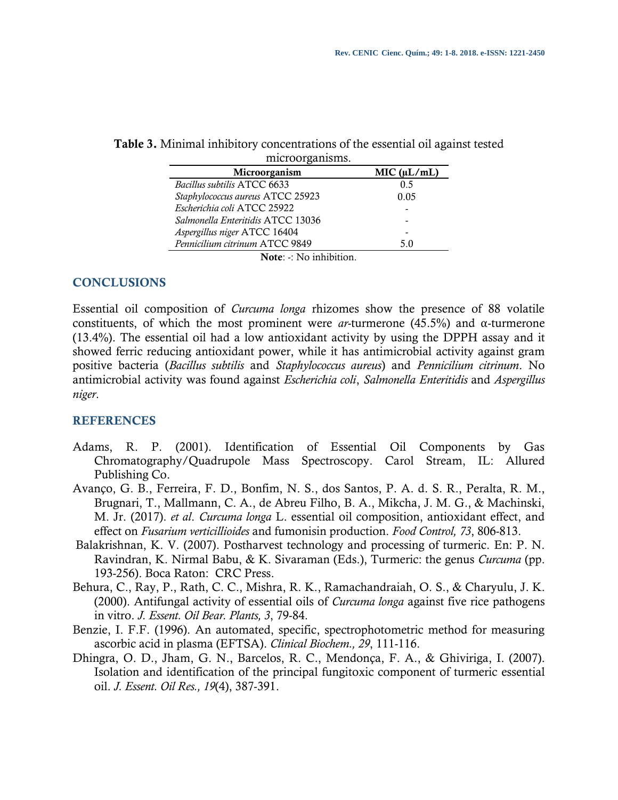| microorganisms.                   |             |
|-----------------------------------|-------------|
| Microorganism                     | MIC (uL/mL) |
| Bacillus subtilis ATCC 6633       | 0.5         |
| Staphylococcus aureus ATCC 25923  | 0.05        |
| Escherichia coli ATCC 25922       |             |
| Salmonella Enteritidis ATCC 13036 |             |
| Aspergillus niger ATCC 16404      |             |
| Pennicilium citrinum ATCC 9849    | 5.0         |
| $\blacksquare$                    |             |

**Table 3.** Minimal inhibitory concentrations of the essential oil against tested

**Note**: -: No inhibition.

## **CONCLUSIONS**

Essential oil composition of *Curcuma longa* rhizomes show the presence of 88 volatile constituents, of which the most prominent were *ar*-turmerone (45.5%) and α-turmerone (13.4%). The essential oil had a low antioxidant activity by using the DPPH assay and it showed ferric reducing antioxidant power, while it has antimicrobial activity against gram positive bacteria (*Bacillus subtilis* and *Staphylococcus aureus*) and *Pennicilium citrinum*. No antimicrobial activity was found against *Escherichia coli*, *Salmonella Enteritidis* and *Aspergillus niger*.

# **REFERENCES**

- Adams, R. P. (2001). Identification of Essential Oil Components by Gas Chromatography/Quadrupole Mass Spectroscopy. Carol Stream, IL: Allured Publishing Co.
- Avanço, G. B., Ferreira, F. D., Bonfim, N. S., dos Santos, P. A. d. S. R., Peralta, R. M., Brugnari, T., Mallmann, C. A., de Abreu Filho, B. A., Mikcha, J. M. G., & Machinski, M. Jr. (2017). *et al*. *Curcuma longa* L. essential oil composition, antioxidant effect, and effect on *Fusarium verticillioides* and fumonisin production. *Food Control, 73*, 806-813.
- Balakrishnan, K. V. (2007). Postharvest technology and processing of turmeric. En: P. N. Ravindran, K. Nirmal Babu, & K. Sivaraman (Eds.), Turmeric: the genus *Curcuma* (pp. 193-256). Boca Raton: CRC Press.
- Behura, C., Ray, P., Rath, C. C., Mishra, R. K., Ramachandraiah, O. S., & Charyulu, J. K. (2000). Antifungal activity of essential oils of *Curcuma longa* against five rice pathogens in vitro. *J. Essent. Oil Bear. Plants, 3*, 79-84.
- Benzie, I. F.F. (1996). An automated, specific, spectrophotometric method for measuring ascorbic acid in plasma (EFTSA). *Clinical Biochem., 29*, 111-116.
- Dhingra, O. D., Jham, G. N., Barcelos, R. C., Mendonça, F. A., & Ghiviriga, I. (2007). Isolation and identification of the principal fungitoxic component of turmeric essential oil. *J. Essent. Oil Res., 19*(4), 387-391.